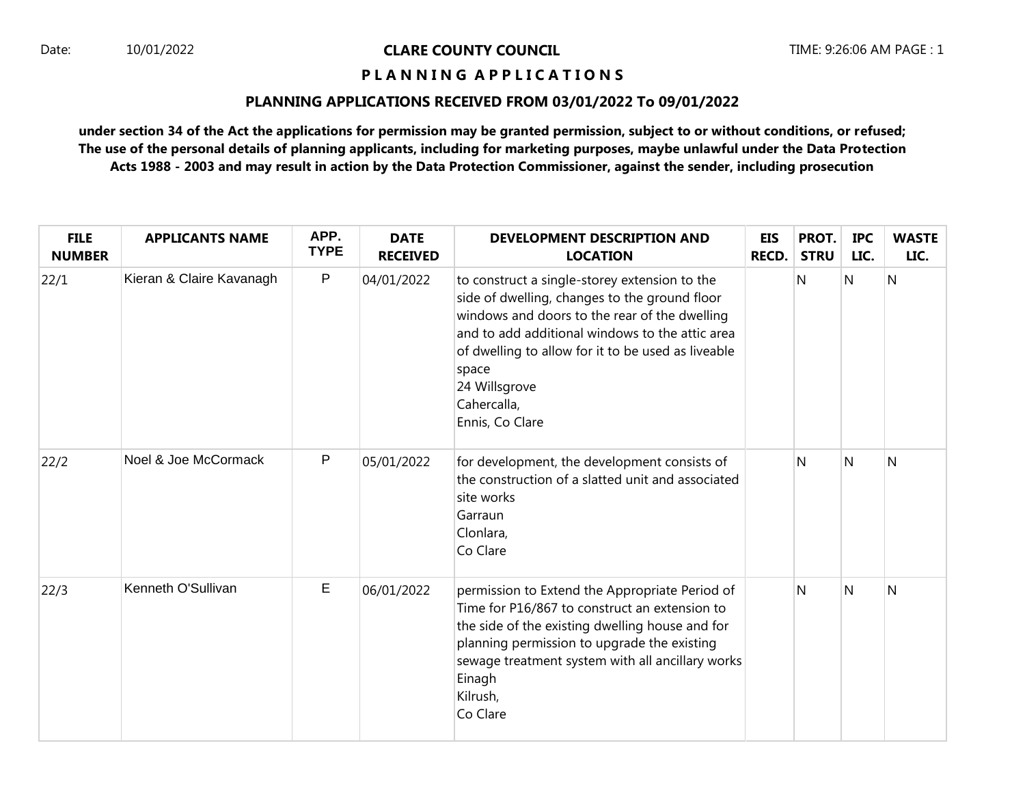# Date: 10/01/2022 **CLARE COUNTY COUNCIL** TIME: 9:26:06 AM PAGE : 1

# **P L A N N I N G A P P L I C A T I O N S**

#### **PLANNING APPLICATIONS RECEIVED FROM 03/01/2022 To 09/01/2022**

**under section 34 of the Act the applications for permission may be granted permission, subject to or without conditions, or refused; The use of the personal details of planning applicants, including for marketing purposes, maybe unlawful under the Data Protection Acts 1988 - 2003 and may result in action by the Data Protection Commissioner, against the sender, including prosecution**

| <b>FILE</b><br><b>NUMBER</b> | <b>APPLICANTS NAME</b>   | APP.<br><b>TYPE</b> | <b>DATE</b><br><b>RECEIVED</b> | <b>DEVELOPMENT DESCRIPTION AND</b><br><b>LOCATION</b>                                                                                                                                                                                                                                                                | <b>EIS</b><br>RECD. | PROT.<br><b>STRU</b> | <b>IPC</b><br>LIC. | <b>WASTE</b><br>LIC. |
|------------------------------|--------------------------|---------------------|--------------------------------|----------------------------------------------------------------------------------------------------------------------------------------------------------------------------------------------------------------------------------------------------------------------------------------------------------------------|---------------------|----------------------|--------------------|----------------------|
| 22/1                         | Kieran & Claire Kavanagh | P                   | 04/01/2022                     | to construct a single-storey extension to the<br>side of dwelling, changes to the ground floor<br>windows and doors to the rear of the dwelling<br>and to add additional windows to the attic area<br>of dwelling to allow for it to be used as liveable<br>space<br>24 Willsgrove<br>Cahercalla,<br>Ennis, Co Clare |                     | Ν                    | N                  | $\overline{N}$       |
| 22/2                         | Noel & Joe McCormack     | P                   | 05/01/2022                     | for development, the development consists of<br>the construction of a slatted unit and associated<br>site works<br>Garraun<br>Clonlara,<br>Co Clare                                                                                                                                                                  |                     | N                    | N                  | N                    |
| 22/3                         | Kenneth O'Sullivan       | E                   | 06/01/2022                     | permission to Extend the Appropriate Period of<br>Time for P16/867 to construct an extension to<br>the side of the existing dwelling house and for<br>planning permission to upgrade the existing<br>sewage treatment system with all ancillary works<br>Einagh<br>Kilrush,<br>Co Clare                              |                     | N                    | N                  | $\overline{N}$       |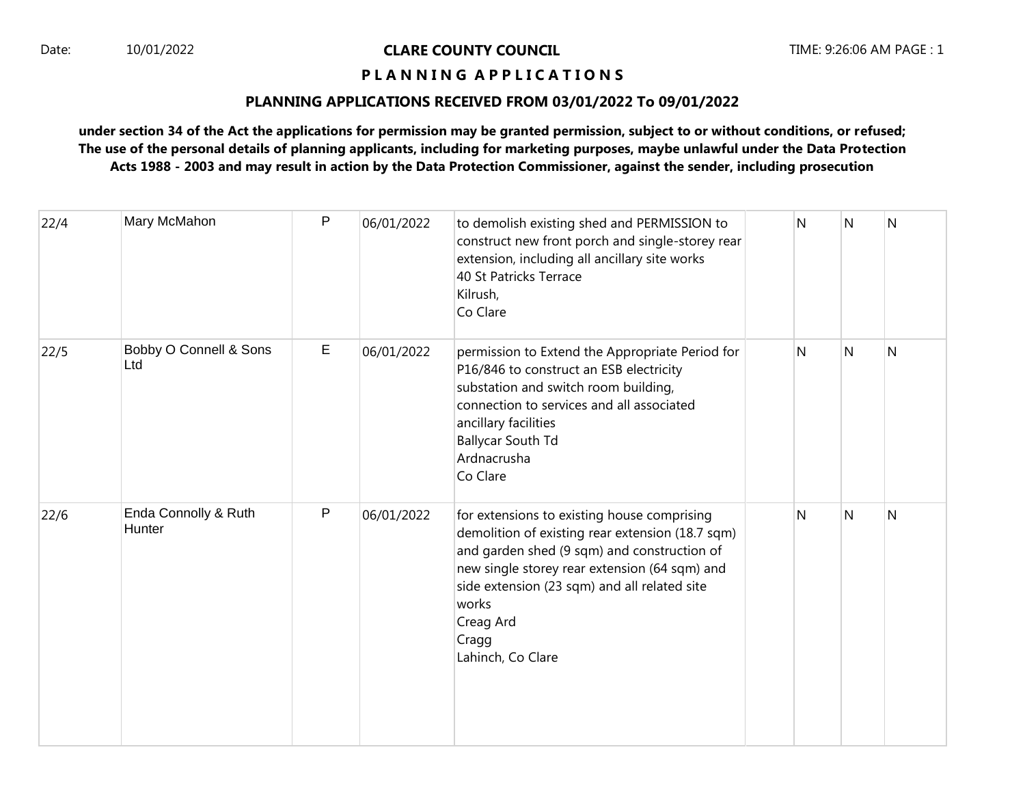# Date: 10/01/2022 **CLARE COUNTY COUNCIL** TIME: 9:26:06 AM PAGE : 1

# **P L A N N I N G A P P L I C A T I O N S**

#### **PLANNING APPLICATIONS RECEIVED FROM 03/01/2022 To 09/01/2022**

**under section 34 of the Act the applications for permission may be granted permission, subject to or without conditions, or refused; The use of the personal details of planning applicants, including for marketing purposes, maybe unlawful under the Data Protection Acts 1988 - 2003 and may result in action by the Data Protection Commissioner, against the sender, including prosecution**

| 22/4 | Mary McMahon                   | P | 06/01/2022 | to demolish existing shed and PERMISSION to<br>construct new front porch and single-storey rear<br>extension, including all ancillary site works<br>40 St Patricks Terrace<br>Kilrush,<br>Co Clare                                                                                                  | N | N | $\mathsf{N}$ |
|------|--------------------------------|---|------------|-----------------------------------------------------------------------------------------------------------------------------------------------------------------------------------------------------------------------------------------------------------------------------------------------------|---|---|--------------|
| 22/5 | Bobby O Connell & Sons<br>Ltd  | E | 06/01/2022 | permission to Extend the Appropriate Period for<br>P16/846 to construct an ESB electricity<br>substation and switch room building,<br>connection to services and all associated<br>ancillary facilities<br><b>Ballycar South Td</b><br>Ardnacrusha<br>Co Clare                                      | Ν | N | N            |
| 22/6 | Enda Connolly & Ruth<br>Hunter | P | 06/01/2022 | for extensions to existing house comprising<br>demolition of existing rear extension (18.7 sqm)<br>and garden shed (9 sqm) and construction of<br>new single storey rear extension (64 sqm) and<br>side extension (23 sqm) and all related site<br>works<br>Creag Ard<br>Cragg<br>Lahinch, Co Clare | N | N | N            |